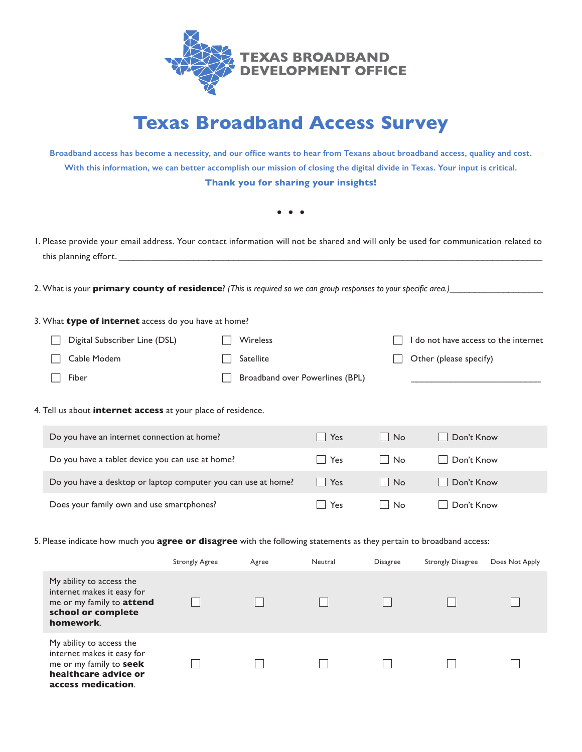

## **Texas Broadband Access Survey**

**Broadband access has become a necessity, and our office wants to hear from Texans about broadband access, quality and cost. With this information, we can better accomplish our mission of closing the digital divide in Texas. Your input is critical. Thank you for sharing your insights!**

**• • •**

1. Please provide your email address. Your contact information will not be shared and will only be used for communication related to this planning effort.

2. What is your **primary county of residence**? *(This is required so we can group responses to your specific area.)\_\_\_\_* 

## 3. What **type of internet** access do you have at home?

| Digital Subscriber Line (DSL) | <b>Wireless</b>                 | I do not have access to the internet |
|-------------------------------|---------------------------------|--------------------------------------|
| Cable Modem                   | Satellite                       | $\Box$ Other (please specify)        |
| Fiber                         | Broadband over Powerlines (BPL) |                                      |

## 4. Tell us about **internet access** at your place of residence.

| Do you have an internet connection at home?                   | Yes | $\overline{\phantom{a}}$ No | Don't Know |
|---------------------------------------------------------------|-----|-----------------------------|------------|
| Do you have a tablet device you can use at home?              | Yes | No.                         | Don't Know |
| Do you have a desktop or laptop computer you can use at home? | Yes | l No                        | Don't Know |
| Does your family own and use smartphones?                     | Yes | No.                         | Don't Know |

## 5. Please indicate how much you **agree or disagree** with the following statements as they pertain to broadband access:

|                                                                                                                                 | <b>Strongly Agree</b> | Agree | Neutral | <b>Disagree</b> | <b>Strongly Disagree</b> | Does Not Apply |
|---------------------------------------------------------------------------------------------------------------------------------|-----------------------|-------|---------|-----------------|--------------------------|----------------|
| My ability to access the<br>internet makes it easy for<br>me or my family to attend<br>school or complete<br>homework.          |                       |       |         |                 |                          |                |
| My ability to access the<br>internet makes it easy for<br>me or my family to seek<br>healthcare advice or<br>access medication. |                       |       |         |                 |                          |                |